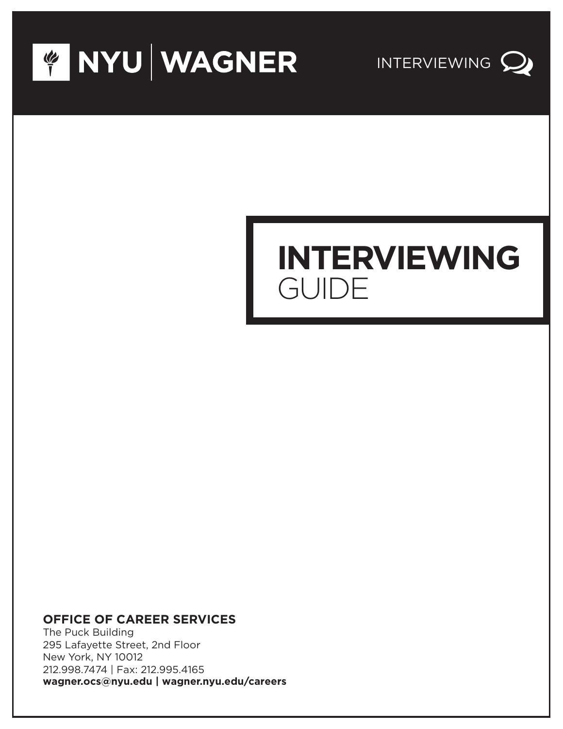



# **INTERVIEWING** GUIDE

#### **OFFICE OF CAREER SERVICES**

The Puck Building 295 Lafayette Street, 2nd Floor New York, NY 10012 212.998.7474 | Fax: 212.995.4165 **wagner.ocs@nyu.edu | wagner.nyu.edu/careers**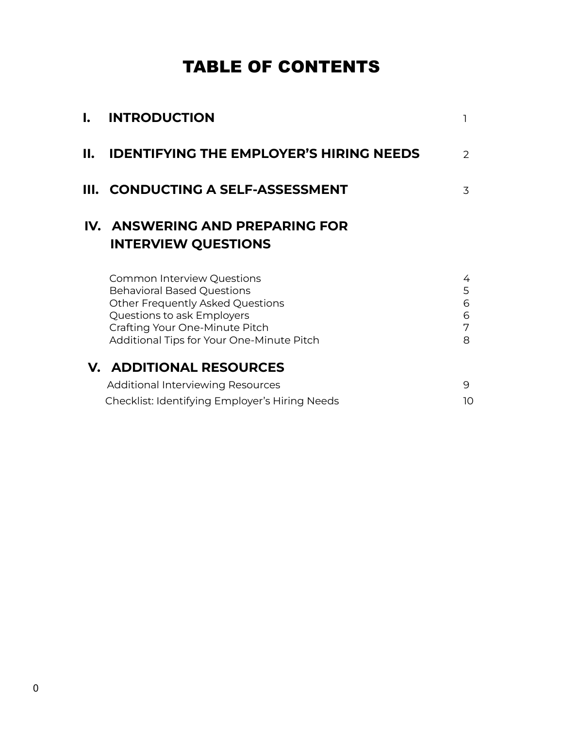### TABLE OF CONTENTS

| l. | <b>INTRODUCTION</b>                                                                                                                                                                                                     |                            |
|----|-------------------------------------------------------------------------------------------------------------------------------------------------------------------------------------------------------------------------|----------------------------|
| П. | <b>IDENTIFYING THE EMPLOYER'S HIRING NEEDS</b>                                                                                                                                                                          | $\mathcal{P}$              |
|    | III. CONDUCTING A SELF-ASSESSMENT                                                                                                                                                                                       | 3                          |
|    | IV. ANSWERING AND PREPARING FOR<br><b>INTERVIEW QUESTIONS</b>                                                                                                                                                           |                            |
|    | <b>Common Interview Questions</b><br><b>Behavioral Based Questions</b><br>Other Frequently Asked Questions<br>Questions to ask Employers<br>Crafting Your One-Minute Pitch<br>Additional Tips for Your One-Minute Pitch | 4<br>5<br>6<br>6<br>7<br>8 |
|    | <b>V. ADDITIONAL RESOURCES</b><br><b>Additional Interviewing Resources</b><br>Checklist: Identifying Employer's Hiring Needs                                                                                            | 9<br>10                    |
|    |                                                                                                                                                                                                                         |                            |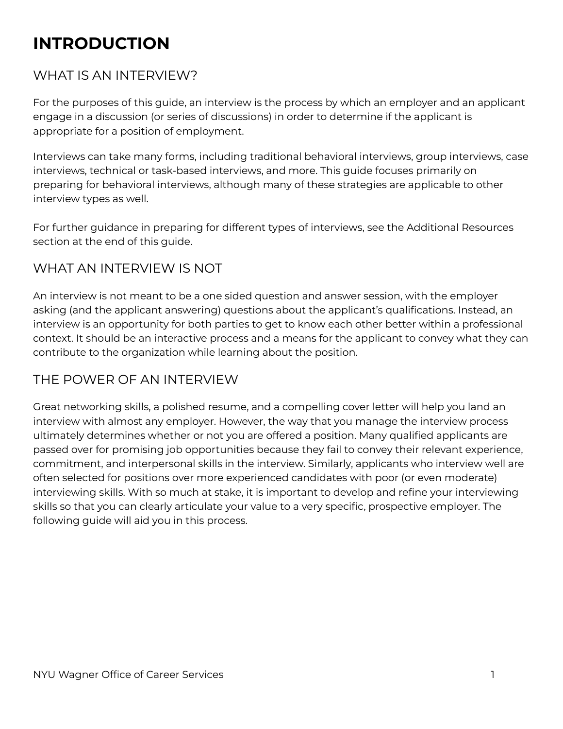# **INTRODUCTION**

#### WHAT IS AN INTERVIEW?

For the purposes of this guide, an interview is the process by which an employer and an applicant engage in a discussion (or series of discussions) in order to determine if the applicant is appropriate for a position of employment.

Interviews can take many forms, including traditional behavioral interviews, group interviews, case interviews, technical or task-based interviews, and more. This guide focuses primarily on preparing for behavioral interviews, although many of these strategies are applicable to other interview types as well.

For further guidance in preparing for different types of interviews, see the Additional Resources section at the end of this guide.

#### WHAT AN INTERVIEW IS NOT

An interview is not meant to be a one sided question and answer session, with the employer asking (and the applicant answering) questions about the applicant's qualifications. Instead, an interview is an opportunity for both parties to get to know each other better within a professional context. It should be an interactive process and a means for the applicant to convey what they can contribute to the organization while learning about the position.

#### THE POWER OF AN INTERVIEW

Great networking skills, a polished resume, and a compelling cover letter will help you land an interview with almost any employer. However, the way that you manage the interview process ultimately determines whether or not you are offered a position. Many qualified applicants are passed over for promising job opportunities because they fail to convey their relevant experience, commitment, and interpersonal skills in the interview. Similarly, applicants who interview well are often selected for positions over more experienced candidates with poor (or even moderate) interviewing skills. With so much at stake, it is important to develop and refine your interviewing skills so that you can clearly articulate your value to a very specific, prospective employer. The following guide will aid you in this process.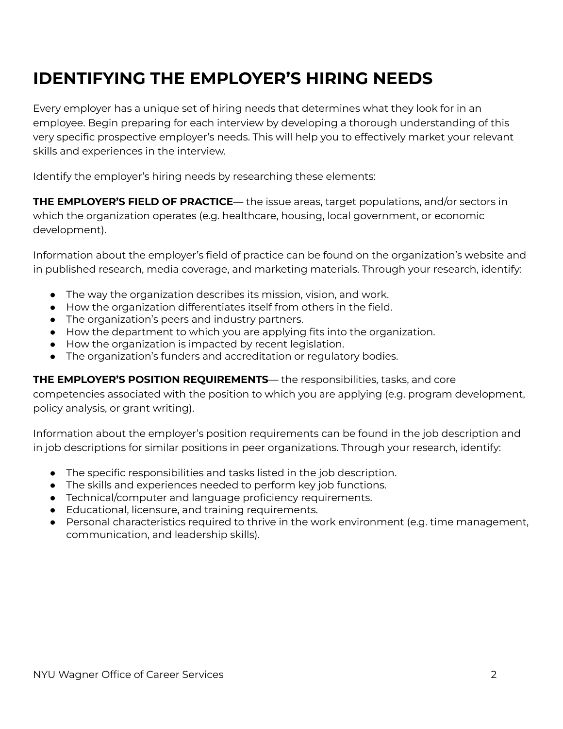## **IDENTIFYING THE EMPLOYER'S HIRING NEEDS**

Every employer has a unique set of hiring needs that determines what they look for in an employee. Begin preparing for each interview by developing a thorough understanding of this very specific prospective employer's needs. This will help you to effectively market your relevant skills and experiences in the interview.

Identify the employer's hiring needs by researching these elements:

**THE EMPLOYER'S FIELD OF PRACTICE**— the issue areas, target populations, and/or sectors in which the organization operates (e.g. healthcare, housing, local government, or economic development).

Information about the employer's field of practice can be found on the organization's website and in published research, media coverage, and marketing materials. Through your research, identify:

- The way the organization describes its mission, vision, and work.
- How the organization differentiates itself from others in the field.
- The organization's peers and industry partners.
- How the department to which you are applying fits into the organization.
- How the organization is impacted by recent legislation.
- The organization's funders and accreditation or regulatory bodies.

**THE EMPLOYER'S POSITION REQUIREMENTS**— the responsibilities, tasks, and core

competencies associated with the position to which you are applying (e.g. program development, policy analysis, or grant writing).

Information about the employer's position requirements can be found in the job description and in job descriptions for similar positions in peer organizations. Through your research, identify:

- The specific responsibilities and tasks listed in the job description.
- The skills and experiences needed to perform key job functions.
- Technical/computer and language proficiency requirements.
- Educational, licensure, and training requirements.
- Personal characteristics required to thrive in the work environment (e.g. time management, communication, and leadership skills).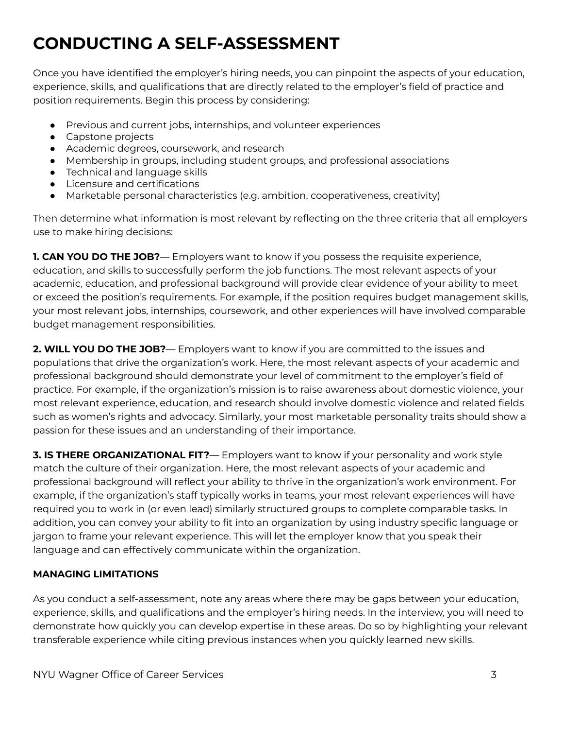# **CONDUCTING A SELF-ASSESSMENT**

Once you have identified the employer's hiring needs, you can pinpoint the aspects of your education, experience, skills, and qualifications that are directly related to the employer's field of practice and position requirements. Begin this process by considering:

- Previous and current jobs, internships, and volunteer experiences
- Capstone projects
- Academic degrees, coursework, and research
- Membership in groups, including student groups, and professional associations
- Technical and language skills
- Licensure and certifications
- Marketable personal characteristics (e.g. ambition, cooperativeness, creativity)

Then determine what information is most relevant by reflecting on the three criteria that all employers use to make hiring decisions:

**1. CAN YOU DO THE JOB?**— Employers want to know if you possess the requisite experience, education, and skills to successfully perform the job functions. The most relevant aspects of your academic, education, and professional background will provide clear evidence of your ability to meet or exceed the position's requirements. For example, if the position requires budget management skills, your most relevant jobs, internships, coursework, and other experiences will have involved comparable budget management responsibilities.

**2. WILL YOU DO THE JOB?**— Employers want to know if you are committed to the issues and populations that drive the organization's work. Here, the most relevant aspects of your academic and professional background should demonstrate your level of commitment to the employer's field of practice. For example, if the organization's mission is to raise awareness about domestic violence, your most relevant experience, education, and research should involve domestic violence and related fields such as women's rights and advocacy. Similarly, your most marketable personality traits should show a passion for these issues and an understanding of their importance.

**3. IS THERE ORGANIZATIONAL FIT?**— Employers want to know if your personality and work style match the culture of their organization. Here, the most relevant aspects of your academic and professional background will reflect your ability to thrive in the organization's work environment. For example, if the organization's staff typically works in teams, your most relevant experiences will have required you to work in (or even lead) similarly structured groups to complete comparable tasks. In addition, you can convey your ability to fit into an organization by using industry specific language or jargon to frame your relevant experience. This will let the employer know that you speak their language and can effectively communicate within the organization.

#### **MANAGING LIMITATIONS**

As you conduct a self-assessment, note any areas where there may be gaps between your education, experience, skills, and qualifications and the employer's hiring needs. In the interview, you will need to demonstrate how quickly you can develop expertise in these areas. Do so by highlighting your relevant transferable experience while citing previous instances when you quickly learned new skills.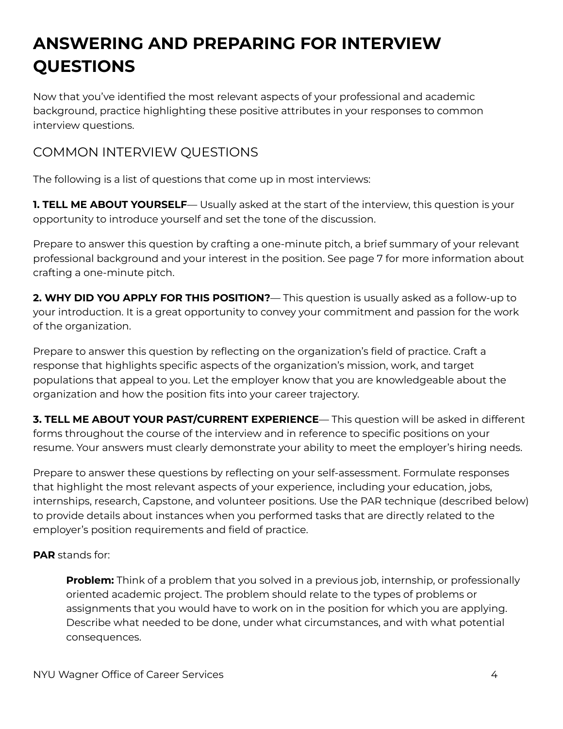# **ANSWERING AND PREPARING FOR INTERVIEW QUESTIONS**

Now that you've identified the most relevant aspects of your professional and academic background, practice highlighting these positive attributes in your responses to common interview questions.

#### COMMON INTERVIEW QUESTIONS

The following is a list of questions that come up in most interviews:

**1. TELL ME ABOUT YOURSELF**— Usually asked at the start of the interview, this question is your opportunity to introduce yourself and set the tone of the discussion.

Prepare to answer this question by crafting a one-minute pitch, a brief summary of your relevant professional background and your interest in the position. See page 7 for more information about crafting a one-minute pitch.

**2. WHY DID YOU APPLY FOR THIS POSITION?**— This question is usually asked as a follow-up to your introduction. It is a great opportunity to convey your commitment and passion for the work of the organization.

Prepare to answer this question by reflecting on the organization's field of practice. Craft a response that highlights specific aspects of the organization's mission, work, and target populations that appeal to you. Let the employer know that you are knowledgeable about the organization and how the position fits into your career trajectory.

**3. TELL ME ABOUT YOUR PAST/CURRENT EXPERIENCE**— This question will be asked in different forms throughout the course of the interview and in reference to specific positions on your resume. Your answers must clearly demonstrate your ability to meet the employer's hiring needs.

Prepare to answer these questions by reflecting on your self-assessment. Formulate responses that highlight the most relevant aspects of your experience, including your education, jobs, internships, research, Capstone, and volunteer positions. Use the PAR technique (described below) to provide details about instances when you performed tasks that are directly related to the employer's position requirements and field of practice.

#### **PAR** stands for:

**Problem:** Think of a problem that you solved in a previous job, internship, or professionally oriented academic project. The problem should relate to the types of problems or assignments that you would have to work on in the position for which you are applying. Describe what needed to be done, under what circumstances, and with what potential consequences.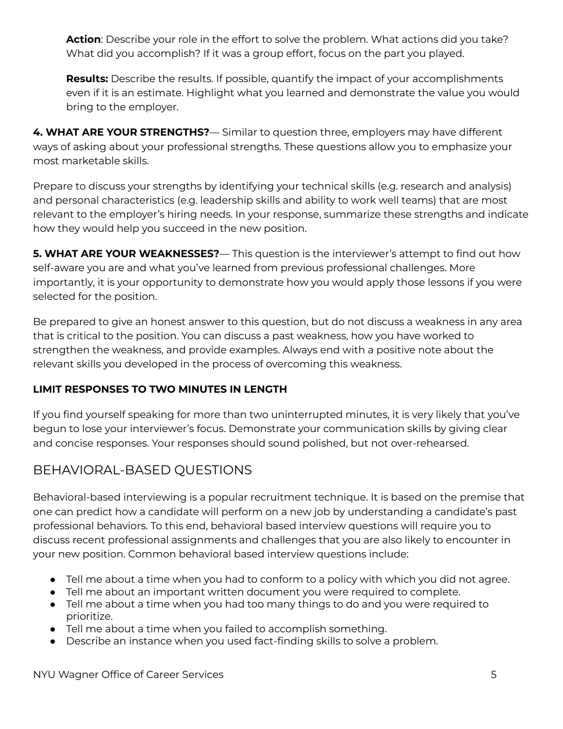**Action**: Describe your role in the effort to solve the problem. What actions did you take? What did you accomplish? If it was a group effort, focus on the part you played.

**Results:** Describe the results. If possible, quantify the impact of your accomplishments even if it is an estimate. Highlight what you learned and demonstrate the value you would bring to the employer.

**4. WHAT ARE YOUR STRENGTHS?**— Similar to question three, employers may have different ways of asking about your professional strengths. These questions allow you to emphasize your most marketable skills.

Prepare to discuss your strengths by identifying your technical skills (e.g. research and analysis) and personal characteristics (e.g. leadership skills and ability to work well teams) that are most relevant to the employer's hiring needs. In your response, summarize these strengths and indicate how they would help you succeed in the new position.

**5. WHAT ARE YOUR WEAKNESSES?**— This question is the interviewer's attempt to find out how self-aware you are and what you've learned from previous professional challenges. More importantly, it is your opportunity to demonstrate how you would apply those lessons if you were selected for the position.

Be prepared to give an honest answer to this question, but do not discuss a weakness in any area that is critical to the position. You can discuss a past weakness, how you have worked to strengthen the weakness, and provide examples. Always end with a positive note about the relevant skills you developed in the process of overcoming this weakness.

#### **LIMIT RESPONSES TO TWO MINUTES IN LENGTH**

If you find yourself speaking for more than two uninterrupted minutes, it is very likely that you've begun to lose your interviewer's focus. Demonstrate your communication skills by giving clear and concise responses. Your responses should sound polished, but not over-rehearsed.

### BEHAVIORAL-BASED QUESTIONS

Behavioral-based interviewing is a popular recruitment technique. It is based on the premise that one can predict how a candidate will perform on a new job by understanding a candidate's past professional behaviors. To this end, behavioral based interview questions will require you to discuss recent professional assignments and challenges that you are also likely to encounter in your new position. Common behavioral based interview questions include:

- Tell me about a time when you had to conform to a policy with which you did not agree.
- Tell me about an important written document you were required to complete.
- Tell me about a time when you had too many things to do and you were required to prioritize.
- Tell me about a time when you failed to accomplish something.
- Describe an instance when you used fact-finding skills to solve a problem.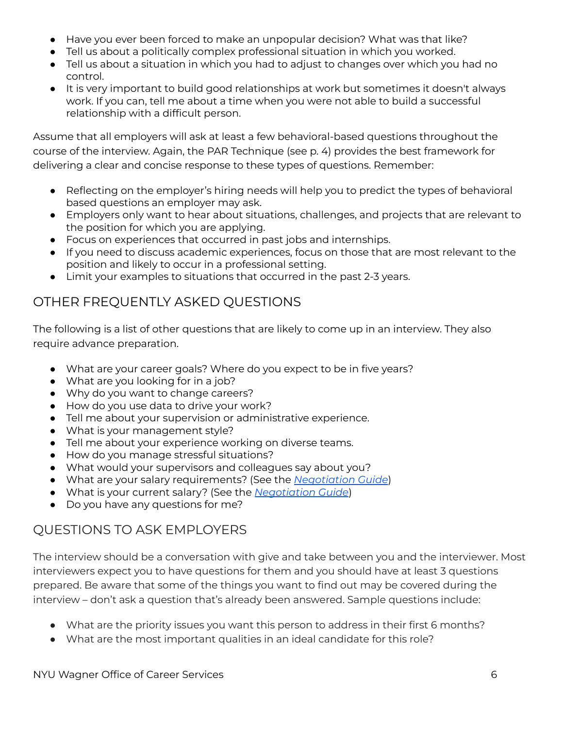- Have you ever been forced to make an unpopular decision? What was that like?
- Tell us about a politically complex professional situation in which you worked.
- Tell us about a situation in which you had to adjust to changes over which you had no control.
- It is very important to build good relationships at work but sometimes it doesn't always work. If you can, tell me about a time when you were not able to build a successful relationship with a difficult person.

Assume that all employers will ask at least a few behavioral-based questions throughout the course of the interview. Again, the PAR Technique (see p. 4) provides the best framework for delivering a clear and concise response to these types of questions. Remember:

- Reflecting on the employer's hiring needs will help you to predict the types of behavioral based questions an employer may ask.
- Employers only want to hear about situations, challenges, and projects that are relevant to the position for which you are applying.
- Focus on experiences that occurred in past jobs and internships.
- If you need to discuss academic experiences, focus on those that are most relevant to the position and likely to occur in a professional setting.
- Limit your examples to situations that occurred in the past 2-3 years.

### OTHER FREQUENTLY ASKED QUESTIONS

The following is a list of other questions that are likely to come up in an interview. They also require advance preparation.

- What are your career goals? Where do you expect to be in five years?
- What are you looking for in a job?
- Why do you want to change careers?
- How do you use data to drive your work?
- Tell me about your supervision or administrative experience.
- What is your management style?
- Tell me about your experience working on diverse teams.
- How do you manage stressful situations?
- What would your supervisors and colleagues say about you?
- What are your salary requirements? (See the *[Negotiation](https://wagner.nyu.edu/files/careers/NegotiatingOffers.pdf) Guide*)
- What is your current salary? (See the *[Negotiation](https://wagner.nyu.edu/files/careers/NegotiatingOffers.pdf) Guide*)
- Do you have any questions for me?

### QUESTIONS TO ASK EMPLOYERS

The interview should be a conversation with give and take between you and the interviewer. Most interviewers expect you to have questions for them and you should have at least 3 questions prepared. Be aware that some of the things you want to find out may be covered during the interview – don't ask a question that's already been answered. Sample questions include:

- What are the priority issues you want this person to address in their first 6 months?
- What are the most important qualities in an ideal candidate for this role?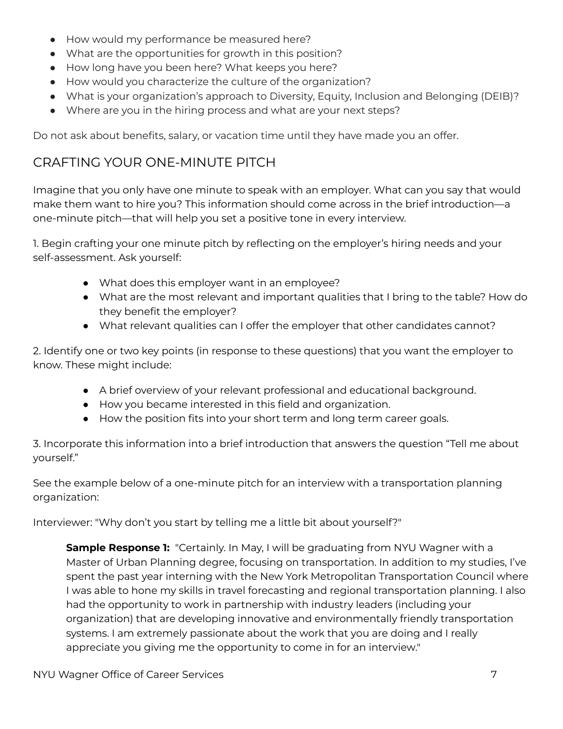- How would my performance be measured here?
- What are the opportunities for growth in this position?
- How long have you been here? What keeps you here?
- How would you characterize the culture of the organization?
- What is your organization's approach to Diversity, Equity, Inclusion and Belonging (DEIB)?
- Where are you in the hiring process and what are your next steps?

Do not ask about benefits, salary, or vacation time until they have made you an offer.

### CRAFTING YOUR ONE-MINUTE PITCH

Imagine that you only have one minute to speak with an employer. What can you say that would make them want to hire you? This information should come across in the brief introduction—a one-minute pitch—that will help you set a positive tone in every interview.

1. Begin crafting your one minute pitch by reflecting on the employer's hiring needs and your self-assessment. Ask yourself:

- What does this employer want in an employee?
- What are the most relevant and important qualities that I bring to the table? How do they benefit the employer?
- What relevant qualities can I offer the employer that other candidates cannot?

2. Identify one or two key points (in response to these questions) that you want the employer to know. These might include:

- A brief overview of your relevant professional and educational background.
- How you became interested in this field and organization.
- How the position fits into your short term and long term career goals.

3. Incorporate this information into a brief introduction that answers the question "Tell me about yourself."

See the example below of a one-minute pitch for an interview with a transportation planning organization:

Interviewer: "Why don't you start by telling me a little bit about yourself?"

**Sample Response 1:** "Certainly. In May, I will be graduating from NYU Wagner with a Master of Urban Planning degree, focusing on transportation. In addition to my studies, I've spent the past year interning with the New York Metropolitan Transportation Council where I was able to hone my skills in travel forecasting and regional transportation planning. I also had the opportunity to work in partnership with industry leaders (including your organization) that are developing innovative and environmentally friendly transportation systems. I am extremely passionate about the work that you are doing and I really appreciate you giving me the opportunity to come in for an interview."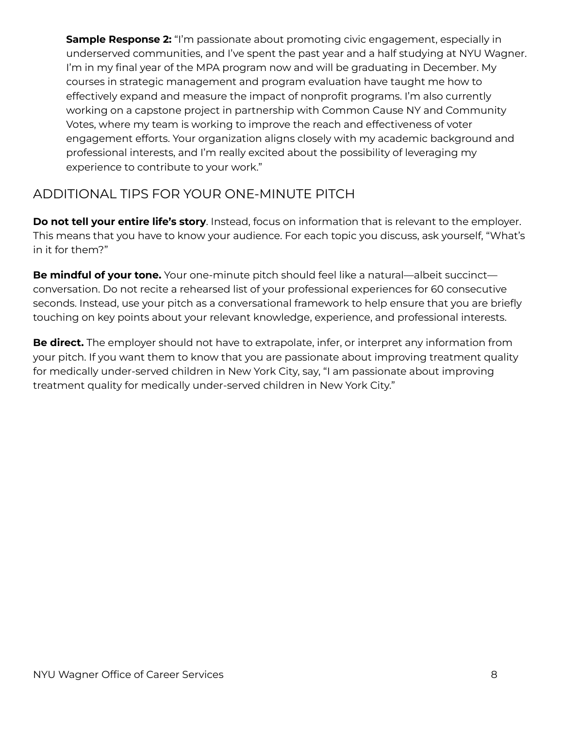**Sample Response 2:** "I'm passionate about promoting civic engagement, especially in underserved communities, and I've spent the past year and a half studying at NYU Wagner. I'm in my final year of the MPA program now and will be graduating in December. My courses in strategic management and program evaluation have taught me how to effectively expand and measure the impact of nonprofit programs. I'm also currently working on a capstone project in partnership with Common Cause NY and Community Votes, where my team is working to improve the reach and effectiveness of voter engagement efforts. Your organization aligns closely with my academic background and professional interests, and I'm really excited about the possibility of leveraging my experience to contribute to your work."

#### ADDITIONAL TIPS FOR YOUR ONE-MINUTE PITCH

**Do not tell your entire life's story**. Instead, focus on information that is relevant to the employer. This means that you have to know your audience. For each topic you discuss, ask yourself, "What's in it for them?"

**Be mindful of your tone.** Your one-minute pitch should feel like a natural—albeit succinct conversation. Do not recite a rehearsed list of your professional experiences for 60 consecutive seconds. Instead, use your pitch as a conversational framework to help ensure that you are briefly touching on key points about your relevant knowledge, experience, and professional interests.

**Be direct.** The employer should not have to extrapolate, infer, or interpret any information from your pitch. If you want them to know that you are passionate about improving treatment quality for medically under-served children in New York City, say, "I am passionate about improving treatment quality for medically under-served children in New York City."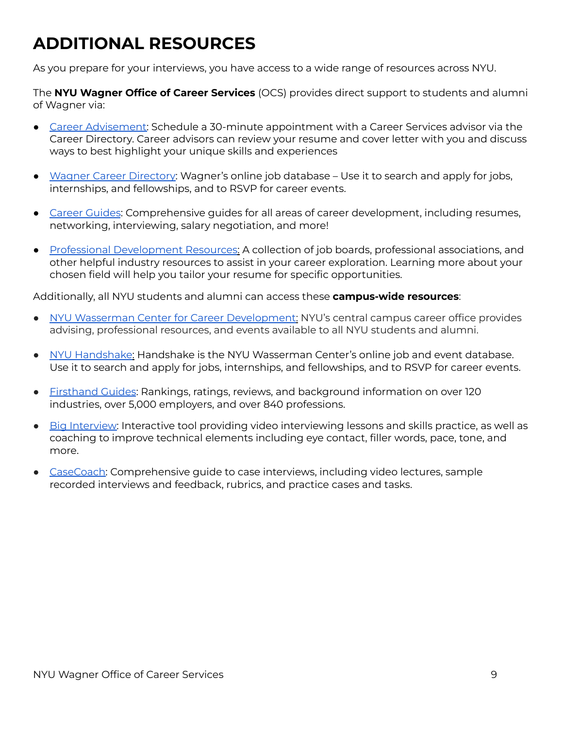## **ADDITIONAL RESOURCES**

As you prepare for your interviews, you have access to a wide range of resources across NYU.

The **NYU Wagner Office of Career Services** (OCS) provides direct support to students and alumni of Wagner via:

- Career [Advisement:](https://wagner.nyu.edu/portal/students/careers/advisement) Schedule a 30-minute appointment with a Career Services advisor via the Career Directory. Career advisors can review your resume and cover letter with you and discuss ways to best highlight your unique skills and experiences
- Wagner Career [Directory:](https://wagner.nyu.edu/portal/students/careers/jobs) Wagner's online job database Use it to search and apply for jobs, internships, and fellowships, and to RSVP for career events.
- Career [Guides](https://wagner.nyu.edu/portal/students/careers/resources/guides): Comprehensive quides for all areas of career development, including resumes, networking, interviewing, salary negotiation, and more!
- Professional [Development](https://wagner.nyu.edu/portal/students/careers/resources/nplinks) Resources: A collection of job boards, professional associations, and other helpful industry resources to assist in your career exploration. Learning more about your chosen field will help you tailor your resume for specific opportunities.

Additionally, all NYU students and alumni can access these **campus-wide resources**:

- NYU Wasserman Center for Career [Development](https://www.nyu.edu/students/student-information-and-resources/career-development-and-jobs.html): NYU's central campus career office provides advising, professional resources, and events available to all NYU students and alumni.
- NYU [Handshake:](https://nyu.joinhandshake.com/login) Handshake is the NYU Wasserman Center's online job and event database. Use it to search and apply for jobs, internships, and fellowships, and to RSVP for career events.
- [Firsthand](https://nyu.firsthand.co/) Guides: Rankings, ratings, reviews, and background information on over 120 industries, over 5,000 employers, and over 840 professions.
- Big [Interview:](https://nyu.biginterview.com/) Interactive tool providing video interviewing lessons and skills practice, as well as coaching to improve technical elements including eye contact, filler words, pace, tone, and more.
- [CaseCoach:](https://nyu.joinhandshake.com/articles/21528) Comprehensive guide to case interviews, including video lectures, sample recorded interviews and feedback, rubrics, and practice cases and tasks.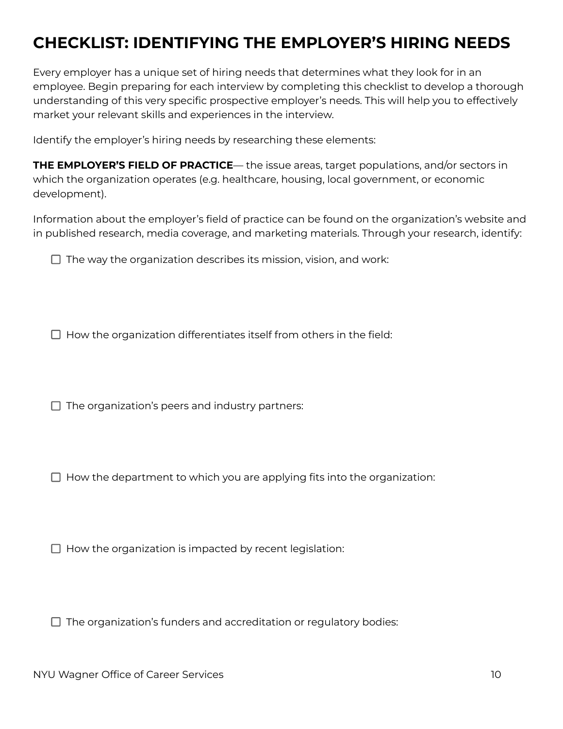### **CHECKLIST: IDENTIFYING THE EMPLOYER'S HIRING NEEDS**

Every employer has a unique set of hiring needs that determines what they look for in an employee. Begin preparing for each interview by completing this checklist to develop a thorough understanding of this very specific prospective employer's needs. This will help you to effectively market your relevant skills and experiences in the interview.

Identify the employer's hiring needs by researching these elements:

**THE EMPLOYER'S FIELD OF PRACTICE**— the issue areas, target populations, and/or sectors in which the organization operates (e.g. healthcare, housing, local government, or economic development).

Information about the employer's field of practice can be found on the organization's website and in published research, media coverage, and marketing materials. Through your research, identify:

 $\Box$  The way the organization describes its mission, vision, and work:

 $\Box$  How the organization differentiates itself from others in the field:

 $\Box$  The organization's peers and industry partners:

 $\Box$  How the department to which you are applying fits into the organization:

 $\Box$  How the organization is impacted by recent legislation:

 $\Box$  The organization's funders and accreditation or regulatory bodies: